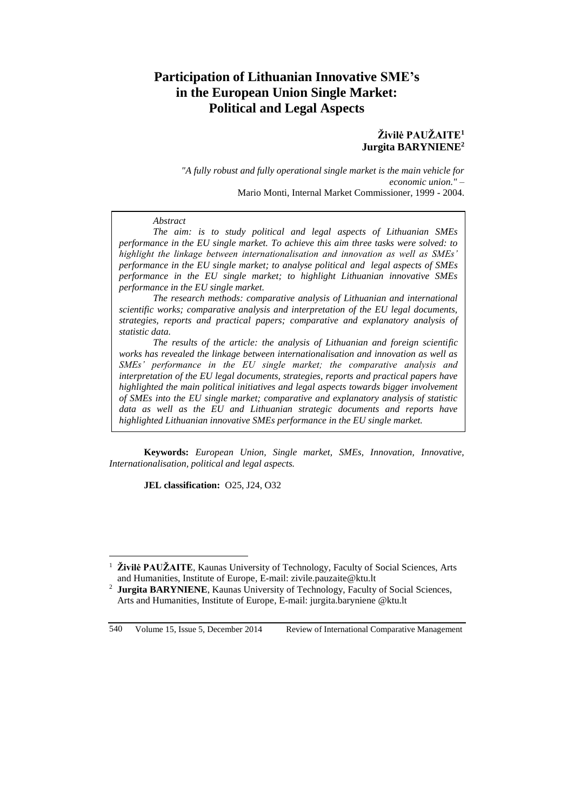# **Participation of Lithuanian Innovative SME's in the European Union Single Market: Political and Legal Aspects**

# **Živilė PAUŽAITE<sup>1</sup> Jurgita BARYNIENE 2**

*"A fully robust and fully operational single market is the main vehicle for economic union." –* Mario Monti, Internal Market Commissioner, 1999 - 2004.

#### *Abstract*

*The aim: is to study political and legal aspects of Lithuanian SMEs performance in the EU single market. To achieve this aim three tasks were solved: to highlight the linkage between internationalisation and innovation as well as SMEs' performance in the EU single market; to analyse political and legal aspects of SMEs performance in the EU single market; to highlight Lithuanian innovative SMEs performance in the EU single market.*

*The research methods: comparative analysis of Lithuanian and international scientific works; comparative analysis and interpretation of the EU legal documents, strategies, reports and practical papers; comparative and explanatory analysis of statistic data.* 

*The results of the article: the analysis of Lithuanian and foreign scientific works has revealed the linkage between internationalisation and innovation as well as SMEs' performance in the EU single market; the comparative analysis and interpretation of the EU legal documents, strategies, reports and practical papers have highlighted the main political initiatives and legal aspects towards bigger involvement of SMEs into the EU single market; comparative and explanatory analysis of statistic data as well as the EU and Lithuanian strategic documents and reports have highlighted Lithuanian innovative SMEs performance in the EU single market.*

**Keywords:** *European Union, Single market, SMEs, Innovation, Innovative, Internationalisation, political and legal aspects.*

**JEL classification:** O25, J24, O32

 $\overline{a}$ 

<sup>1</sup> **Živilė PAUŽAITE**, Kaunas University of Technology, Faculty of Social Sciences, Arts and Humanities, Institute of Europe, E-mail: zivile.pauzaite@ktu.lt

<sup>&</sup>lt;sup>2</sup> **Jurgita BARYNIENE**, Kaunas University of Technology, Faculty of Social Sciences, Arts and Humanities, Institute of Europe, E-mail: jurgita.baryniene @ktu.lt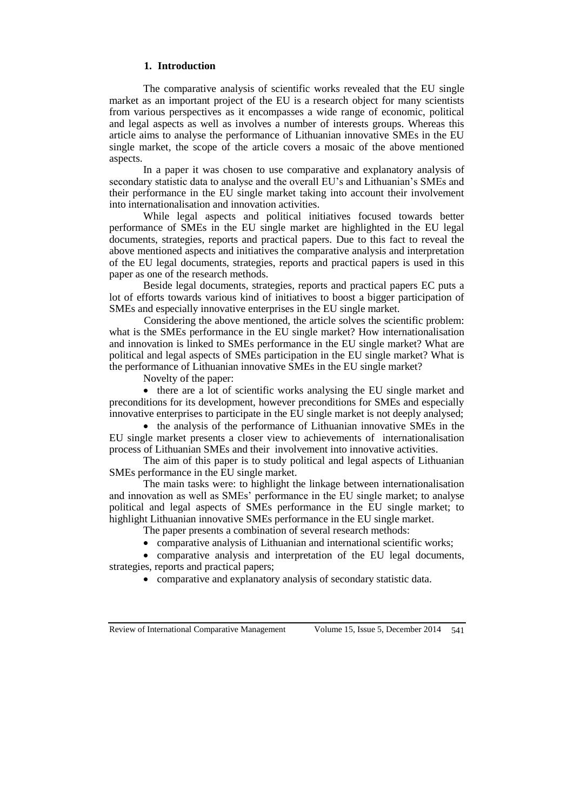#### **1. Introduction**

The comparative analysis of scientific works revealed that the EU single market as an important project of the EU is a research object for many scientists from various perspectives as it encompasses a wide range of economic, political and legal aspects as well as involves a number of interests groups. Whereas this article aims to analyse the performance of Lithuanian innovative SMEs in the EU single market, the scope of the article covers a mosaic of the above mentioned aspects.

In a paper it was chosen to use comparative and explanatory analysis of secondary statistic data to analyse and the overall EU's and Lithuanian's SMEs and their performance in the EU single market taking into account their involvement into internationalisation and innovation activities.

While legal aspects and political initiatives focused towards better performance of SMEs in the EU single market are highlighted in the EU legal documents, strategies, reports and practical papers. Due to this fact to reveal the above mentioned aspects and initiatives the comparative analysis and interpretation of the EU legal documents, strategies, reports and practical papers is used in this paper as one of the research methods.

Beside legal documents, strategies, reports and practical papers EC puts a lot of efforts towards various kind of initiatives to boost a bigger participation of SMEs and especially innovative enterprises in the EU single market.

Considering the above mentioned, the article solves the scientific problem: what is the SMEs performance in the EU single market? How internationalisation and innovation is linked to SMEs performance in the EU single market? What are political and legal aspects of SMEs participation in the EU single market? What is the performance of Lithuanian innovative SMEs in the EU single market?

Novelty of the paper:

• there are a lot of scientific works analysing the EU single market and preconditions for its development, however preconditions for SMEs and especially innovative enterprises to participate in the EU single market is not deeply analysed;

• the analysis of the performance of Lithuanian innovative SMEs in the EU single market presents a closer view to achievements of internationalisation process of Lithuanian SMEs and their involvement into innovative activities.

The aim of this paper is to study political and legal aspects of Lithuanian SMEs performance in the EU single market.

The main tasks were: to highlight the linkage between internationalisation and innovation as well as SMEs' performance in the EU single market; to analyse political and legal aspects of SMEs performance in the EU single market; to highlight Lithuanian innovative SMEs performance in the EU single market.

The paper presents a combination of several research methods:

comparative analysis of Lithuanian and international scientific works;

 comparative analysis and interpretation of the EU legal documents, strategies, reports and practical papers;

comparative and explanatory analysis of secondary statistic data.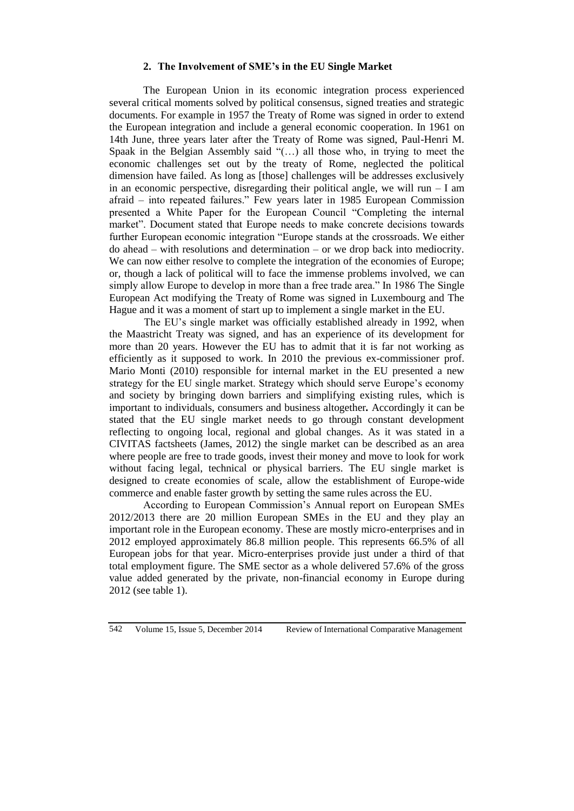#### **2. The Involvement of SME's in the EU Single Market**

The European Union in its economic integration process experienced several critical moments solved by political consensus, signed treaties and strategic documents. For example in 1957 the Treaty of Rome was signed in order to extend the European integration and include a general economic cooperation. In 1961 on 14th June, three years later after the Treaty of Rome was signed, Paul-Henri M. Spaak in the Belgian Assembly said "(…) all those who, in trying to meet the economic challenges set out by the treaty of Rome, neglected the political dimension have failed. As long as [those] challenges will be addresses exclusively in an economic perspective, disregarding their political angle, we will run  $-$  I am afraid – into repeated failures." Few years later in 1985 European Commission presented a White Paper for the European Council "Completing the internal market". Document stated that Europe needs to make concrete decisions towards further European economic integration "Europe stands at the crossroads. We either do ahead – with resolutions and determination – or we drop back into mediocrity. We can now either resolve to complete the integration of the economies of Europe; or, though a lack of political will to face the immense problems involved, we can simply allow Europe to develop in more than a free trade area." In 1986 The Single European Act modifying the Treaty of Rome was signed in Luxembourg and The Hague and it was a moment of start up to implement a single market in the EU.

The EU's single market was officially established already in 1992, when the Maastricht Treaty was signed, and has an experience of its development for more than 20 years. However the EU has to admit that it is far not working as efficiently as it supposed to work. In 2010 the previous ex-commissioner prof. Mario Monti (2010) responsible for internal market in the EU presented a new strategy for the EU single market. Strategy which should serve Europe's economy and society by bringing down barriers and simplifying existing rules, which is important to individuals, consumers and business altogether*.* Accordingly it can be stated that the EU single market needs to go through constant development reflecting to ongoing local, regional and global changes. As it was stated in a CIVITAS factsheets (James, 2012) the single market can be described as an area where people are free to trade goods, invest their money and move to look for work without facing legal, technical or physical barriers. The EU single market is designed to create economies of scale, allow the establishment of Europe-wide commerce and enable faster growth by setting the same rules across the EU.

According to European Commission's Annual report on European SMEs 2012/2013 there are 20 million European SMEs in the EU and they play an important role in the European economy. These are mostly micro-enterprises and in 2012 employed approximately 86.8 million people. This represents 66.5% of all European jobs for that year. Micro-enterprises provide just under a third of that total employment figure. The SME sector as a whole delivered 57.6% of the gross value added generated by the private, non-financial economy in Europe during 2012 (see table 1).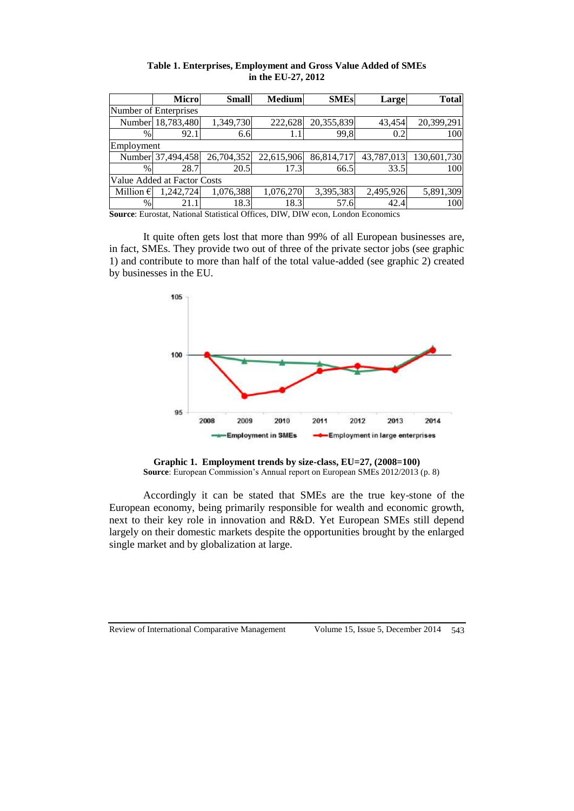|                             | <b>Micro</b>      | <b>Small</b> | <b>Medium</b> | <b>SMEs</b> | Large      | <b>Total</b> |  |  |  |
|-----------------------------|-------------------|--------------|---------------|-------------|------------|--------------|--|--|--|
| Number of Enterprises       |                   |              |               |             |            |              |  |  |  |
|                             | Number 18,783,480 | 1,349,730    | 222,628       | 20,355,839  | 43,454     | 20,399,291   |  |  |  |
| %                           | 92.1              | 6.6          |               | 99,8        | 0.2        | 100          |  |  |  |
| Employment                  |                   |              |               |             |            |              |  |  |  |
|                             | Number 37,494,458 | 26,704,352   | 22,615,906    | 86,814,717  | 43,787,013 | 130,601,730  |  |  |  |
| %                           | 28.7              | 20.5         | 17.3          | 66.5        | 33.5       | 100          |  |  |  |
| Value Added at Factor Costs |                   |              |               |             |            |              |  |  |  |
| Million $\epsilon$          | 1,242,724         | 1,076,388    | 1,076,270     | 3,395,383   | 2,495,926  | 5,891,309    |  |  |  |
| $\%$                        | 21.1              | 18.3         | 18.3          | 57.6        | 42.4       | 100          |  |  |  |

**Table 1. Enterprises, Employment and Gross Value Added of SMEs in the EU-27, 2012**

**Source**: Eurostat, National Statistical Offices, DIW, DIW econ, London Economics

It quite often gets lost that more than 99% of all European businesses are, in fact, SMEs. They provide two out of three of the private sector jobs (see graphic 1) and contribute to more than half of the total value-added (see graphic 2) created by businesses in the EU.



**Graphic 1. Employment trends by size-class, EU=27, (2008=100) Source**: European Commission's Annual report on European SMEs 2012/2013 (p. 8)

Accordingly it can be stated that SMEs are the true key-stone of the European economy, being primarily responsible for wealth and economic growth, next to their key role in innovation and R&D. Yet European SMEs still depend largely on their domestic markets despite the opportunities brought by the enlarged single market and by globalization at large.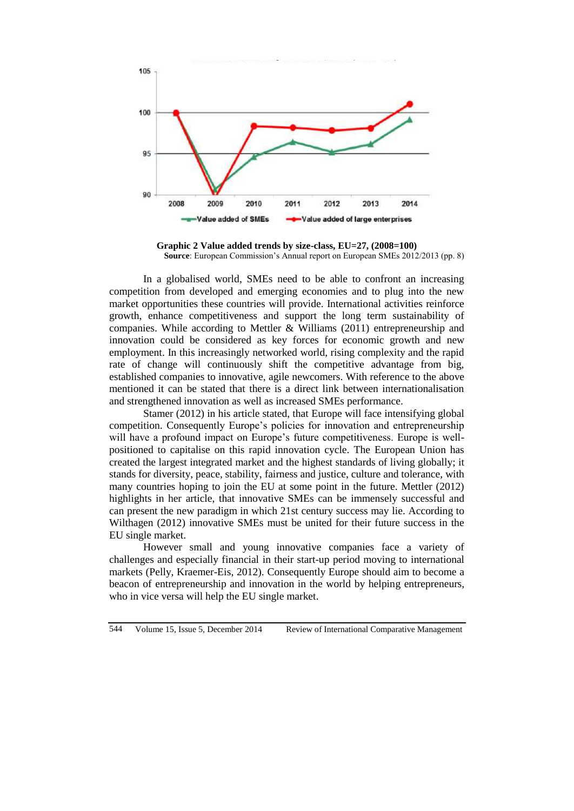

**Graphic 2 Value added trends by size-class, EU=27, (2008=100) Source**: European Commission's Annual report on European SMEs 2012/2013 (pp. 8)

In a globalised world, SMEs need to be able to confront an increasing competition from developed and emerging economies and to plug into the new market opportunities these countries will provide. International activities reinforce growth, enhance competitiveness and support the long term sustainability of companies. While according to Mettler & Williams (2011) entrepreneurship and innovation could be considered as key forces for economic growth and new employment. In this increasingly networked world, rising complexity and the rapid rate of change will continuously shift the competitive advantage from big, established companies to innovative, agile newcomers. With reference to the above mentioned it can be stated that there is a direct link between internationalisation and strengthened innovation as well as increased SMEs performance.

Stamer (2012) in his article stated, that Europe will face intensifying global competition. Consequently Europe's policies for innovation and entrepreneurship will have a profound impact on Europe's future competitiveness. Europe is wellpositioned to capitalise on this rapid innovation cycle. The European Union has created the largest integrated market and the highest standards of living globally; it stands for diversity, peace, stability, fairness and justice, culture and tolerance, with many countries hoping to join the EU at some point in the future. Mettler (2012) highlights in her article, that innovative SMEs can be immensely successful and can present the new paradigm in which 21st century success may lie. According to Wilthagen (2012) innovative SMEs must be united for their future success in the EU single market.

However small and young innovative companies face a variety of challenges and especially financial in their start-up period moving to international markets (Pelly, Kraemer-Eis, 2012). Consequently Europe should aim to become a beacon of entrepreneurship and innovation in the world by helping entrepreneurs, who in vice versa will help the EU single market.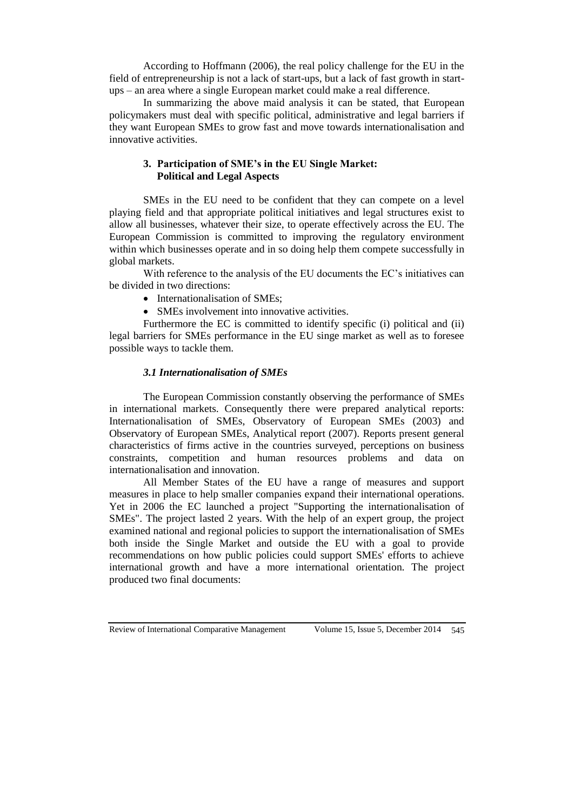According to Hoffmann (2006), the real policy challenge for the EU in the field of entrepreneurship is not a lack of start-ups, but a lack of fast growth in startups – an area where a single European market could make a real difference.

In summarizing the above maid analysis it can be stated, that European policymakers must deal with specific political, administrative and legal barriers if they want European SMEs to grow fast and move towards internationalisation and innovative activities.

## **3. Participation of SME's in the EU Single Market: Political and Legal Aspects**

SMEs in the EU need to be confident that they can compete on a level playing field and that appropriate political initiatives and legal structures exist to allow all businesses, whatever their size, to operate effectively across the EU. The European Commission is committed to improving the regulatory environment within which businesses operate and in so doing help them compete successfully in global markets.

With reference to the analysis of the EU documents the EC's initiatives can be divided in two directions:

- Internationalisation of SMEs;
- SMEs involvement into innovative activities.

Furthermore the EC is committed to identify specific (i) political and (ii) legal barriers for SMEs performance in the EU singe market as well as to foresee possible ways to tackle them.

# *3.1 Internationalisation of SMEs*

The European Commission constantly observing the performance of SMEs in international markets. Consequently there were prepared analytical reports: Internationalisation of SMEs, Observatory of European SMEs (2003) and Observatory of European SMEs, Analytical report (2007). Reports present general characteristics of firms active in the countries surveyed, perceptions on business constraints, competition and human resources problems and data on internationalisation and innovation.

All Member States of the EU have a range of measures and support measures in place to help smaller companies expand their international operations. Yet in 2006 the EC launched a project "Supporting the internationalisation of SMEs". The project lasted 2 years. With the help of an expert group, the project examined national and regional policies to support the internationalisation of SMEs both inside the Single Market and outside the EU with a goal to provide recommendations on how public policies could support SMEs' efforts to achieve international growth and have a more international orientation. The project produced two final documents: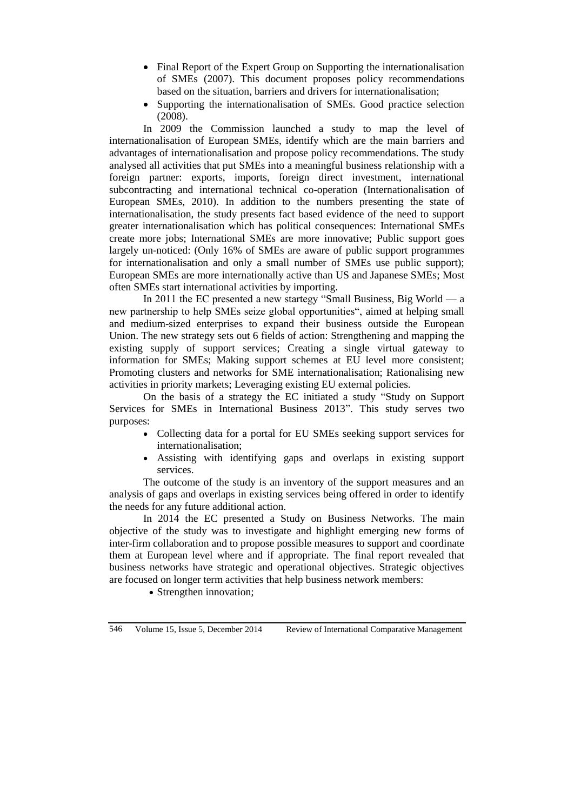- Final Report of the Expert Group on Supporting the internationalisation [of SMEs](http://ec.europa.eu/enterprise/policies/sme/files/support_measures/internationalisation/report_internat_en.pdf) (2007). This document proposes policy recommendations based on the situation, barriers and drivers for internationalisation;
- [Supporting the internationalisation of SMEs. Good practice selection](http://ec.europa.eu/enterprise/policies/sme/files/support_measures/internationalisation/internat_best_en.pdf) (2008).

In 2009 the Commission launched a study to map the level of internationalisation of European SMEs, identify which are the main barriers and advantages of internationalisation and propose policy recommendations. The study analysed all activities that put SMEs into a meaningful business relationship with a foreign partner: exports, imports, foreign direct investment, international subcontracting and international technical co-operation (Internationalisation of European SMEs, 2010). In addition to the numbers presenting the state of internationalisation, the study presents fact based evidence of the need to support greater internationalisation which has political consequences: International SMEs create more jobs; International SMEs are more innovative; Public support goes largely un-noticed: (Only 16% of SMEs are aware of public support programmes for internationalisation and only a small number of SMEs use public support); European SMEs are more internationally active than US and Japanese SMEs; Most often SMEs start international activities by importing.

In 2011 the EC presented a new startegy "Small Business, Big World — a new partnership to help SMEs seize global opportunities", aimed at helping small and medium-sized enterprises to expand their business outside the European Union. The new strategy sets out 6 fields of action: Strengthening and mapping the existing supply of support services; Creating a single virtual gateway to information for SMEs; Making support schemes at EU level more consistent; Promoting clusters and networks for SME internationalisation; Rationalising new activities in priority markets; Leveraging existing EU external policies.

On the basis of a strategy the EC initiated a study ["Study on Support](http://ec.europa.eu/enterprise/policies/international/files/2013-sme-_internationalisation-final-report_en.pdf)  [Services for SMEs in International Business 2013"](http://ec.europa.eu/enterprise/policies/international/files/2013-sme-_internationalisation-final-report_en.pdf). This study serves two purposes:

- Collecting data for a portal for EU SMEs seeking support services for internationalisation;
- Assisting with identifying gaps and overlaps in existing support services.

The outcome of the study is an inventory of the support measures and an analysis of gaps and overlaps in existing services being offered in order to identify the needs for any future additional action.

In 2014 the EC presented a Study on Business Networks. The main objective of the study was to investigate and highlight emerging new forms of inter-firm collaboration and to propose possible measures to support and coordinate them at European level where and if appropriate. The final report revealed that business networks have strategic and operational objectives. Strategic objectives are focused on longer term activities that help business network members:

• Strengthen innovation;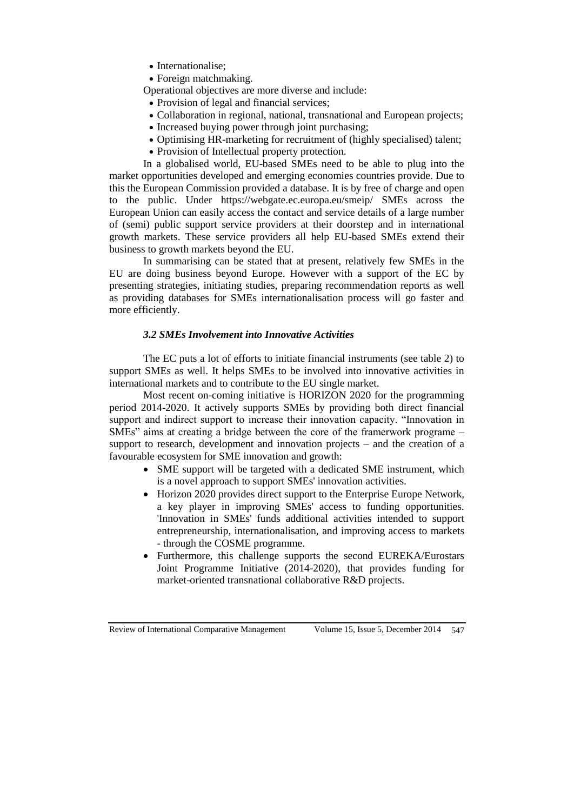- Internationalise;
- Foreign matchmaking.

Operational objectives are more diverse and include:

- Provision of legal and financial services:
- Collaboration in regional, national, transnational and European projects;
- Increased buying power through joint purchasing;
- Optimising HR-marketing for recruitment of (highly specialised) talent;
- Provision of Intellectual property protection.

In a globalised world, EU-based SMEs need to be able to plug into the market opportunities developed and emerging economies countries provide. Due to this the European Commission provided a database. It is by free of charge and open to the public. Under <https://webgate.ec.europa.eu/smeip/> SMEs across the European Union can easily access the contact and service details of a large number of (semi) public support service providers at their doorstep and in international growth markets. These service providers all help EU-based SMEs extend their business to growth markets beyond the EU.

In summarising can be stated that at present, relatively few SMEs in the EU are doing business beyond Europe. However with a support of the EC by presenting strategies, initiating studies, preparing recommendation reports as well as providing databases for SMEs internationalisation process will go faster and more efficiently.

# *3.2 SMEs Involvement into Innovative Activities*

The EC puts a lot of efforts to initiate financial instruments (see table 2) to support SMEs as well. It helps SMEs to be involved into innovative activities in international markets and to contribute to the EU single market.

Most recent on-coming initiative is HORIZON 2020 for the programming period 2014-2020. It actively supports SMEs by providing both direct financial support and indirect support to increase their innovation capacity. "Innovation in SMEs" aims at creating a bridge between the core of the framerwork programe – support to research, development and innovation projects – and the creation of a favourable ecosystem for SME innovation and growth:

- SME support will be targeted with a dedicated SME instrument, which is a novel approach to support SMEs' innovation activities.
- Horizon 2020 provides direct support to the Enterprise Europe Network, a key player in improving SMEs' access to funding opportunities. 'Innovation in SMEs' funds additional activities intended to support entrepreneurship, internationalisation, and improving access to markets - through the COSME programme.
- Furthermore, this challenge supports the second EUREKA/Eurostars Joint Programme Initiative (2014-2020), that provides funding for market-oriented transnational collaborative R&D projects.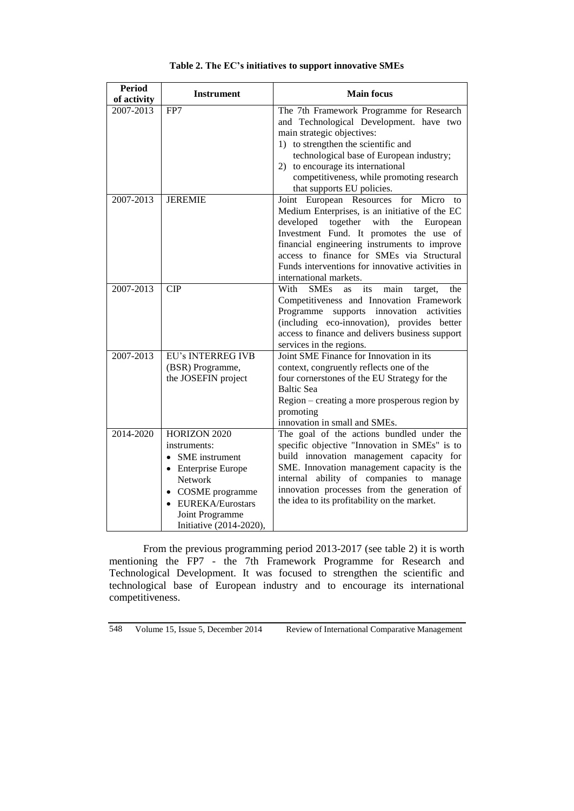| <b>Period</b><br>of activity | <b>Instrument</b>                                                                                                                                                                   | <b>Main focus</b>                                                                                                                                                                                                                                                                                                                                                 |  |  |  |  |
|------------------------------|-------------------------------------------------------------------------------------------------------------------------------------------------------------------------------------|-------------------------------------------------------------------------------------------------------------------------------------------------------------------------------------------------------------------------------------------------------------------------------------------------------------------------------------------------------------------|--|--|--|--|
| 2007-2013                    | FP7                                                                                                                                                                                 | The 7th Framework Programme for Research<br>and Technological Development. have two<br>main strategic objectives:<br>1) to strengthen the scientific and<br>technological base of European industry;<br>2) to encourage its international<br>competitiveness, while promoting research<br>that supports EU policies.                                              |  |  |  |  |
| 2007-2013                    | <b>JEREMIE</b>                                                                                                                                                                      | Joint European Resources for Micro<br>to<br>Medium Enterprises, is an initiative of the EC<br>developed<br>together with<br>the<br>European<br>Investment Fund. It promotes the use of<br>financial engineering instruments to improve<br>access to finance for SMEs via Structural<br>Funds interventions for innovative activities in<br>international markets. |  |  |  |  |
| 2007-2013                    | $\overline{CIP}$                                                                                                                                                                    | With<br><b>SMEs</b><br>its<br>main<br>the<br><b>as</b><br>target,<br>Competitiveness and Innovation Framework<br>Programme<br>supports<br>innovation<br>activities<br>(including eco-innovation), provides better<br>access to finance and delivers business support<br>services in the regions.                                                                  |  |  |  |  |
| 2007-2013                    | <b>EU's INTERREG IVB</b><br>(BSR) Programme,<br>the JOSEFIN project                                                                                                                 | Joint SME Finance for Innovation in its<br>context, congruently reflects one of the<br>four cornerstones of the EU Strategy for the<br><b>Baltic Sea</b><br>Region – creating a more prosperous region by<br>promoting<br>innovation in small and SMEs.                                                                                                           |  |  |  |  |
| 2014-2020                    | HORIZON 2020<br>instruments:<br><b>SME</b> instrument<br>• Enterprise Europe<br>Network<br>COSME programme<br><b>EUREKA/Eurostars</b><br>Joint Programme<br>Initiative (2014-2020), | The goal of the actions bundled under the<br>specific objective "Innovation in SMEs" is to<br>build innovation management capacity for<br>SME. Innovation management capacity is the<br>ability of companies to manage<br>internal<br>innovation processes from the generation of<br>the idea to its profitability on the market.                                 |  |  |  |  |

#### **Table 2. The EC's initiatives to support innovative SMEs**

From the previous programming period 2013-2017 (see table 2) it is worth mentioning the FP7 - the 7th Framework Programme for Research and Technological Development. It was focused to strengthen the scientific and technological base of European industry and to encourage its international competitiveness.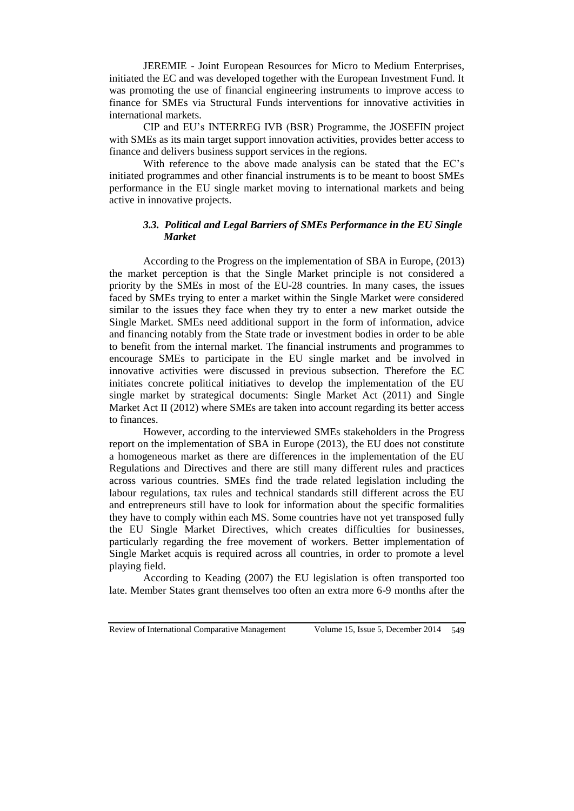JEREMIE - Joint European Resources for Micro to Medium Enterprises, initiated the EC and was developed together with the European Investment Fund. It was promoting the use of financial engineering instruments to improve access to finance for SMEs via Structural Funds interventions for innovative activities in international markets.

CIP and EU's INTERREG IVB (BSR) Programme, the JOSEFIN project with SMEs as its main target support innovation activities, provides better access to finance and delivers business support services in the regions.

With reference to the above made analysis can be stated that the EC's initiated programmes and other financial instruments is to be meant to boost SMEs performance in the EU single market moving to international markets and being active in innovative projects.

## *3.3. Political and Legal Barriers of SMEs Performance in the EU Single Market*

According to the Progress on the implementation of SBA in Europe, (2013) the market perception is that the Single Market principle is not considered a priority by the SMEs in most of the EU-28 countries. In many cases, the issues faced by SMEs trying to enter a market within the Single Market were considered similar to the issues they face when they try to enter a new market outside the Single Market. SMEs need additional support in the form of information, advice and financing notably from the State trade or investment bodies in order to be able to benefit from the internal market. The financial instruments and programmes to encourage SMEs to participate in the EU single market and be involved in innovative activities were discussed in previous subsection. Therefore the EC initiates concrete political initiatives to develop the implementation of the EU single market by strategical documents: Single Market Act (2011) and Single Market Act II (2012) where SMEs are taken into account regarding its better access to finances.

However, according to the interviewed SMEs stakeholders in the Progress report on the implementation of SBA in Europe (2013), the EU does not constitute a homogeneous market as there are differences in the implementation of the EU Regulations and Directives and there are still many different rules and practices across various countries. SMEs find the trade related legislation including the labour regulations, tax rules and technical standards still different across the EU and entrepreneurs still have to look for information about the specific formalities they have to comply within each MS. Some countries have not yet transposed fully the EU Single Market Directives, which creates difficulties for businesses, particularly regarding the free movement of workers. Better implementation of Single Market acquis is required across all countries, in order to promote a level playing field.

According to Keading (2007) the EU legislation is often transported too late. Member States grant themselves too often an extra more 6-9 months after the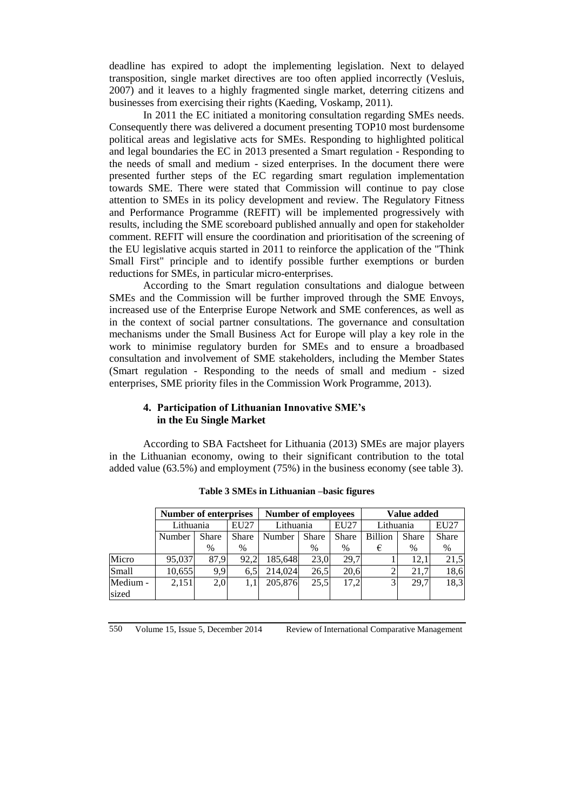deadline has expired to adopt the implementing legislation. Next to delayed transposition, single market directives are too often applied incorrectly (Vesluis, 2007) and it leaves to a highly fragmented single market, deterring citizens and businesses from exercising their rights (Kaeding, Voskamp, 2011).

In 2011 the EC initiated a monitoring consultation regarding SMEs needs. Consequently there was delivered a document presenting TOP10 most burdensome political areas and legislative acts for SMEs. Responding to highlighted political and legal boundaries the EC in 2013 presented a Smart regulation - Responding to the needs of small and medium - sized enterprises. In the document there were presented further steps of the EC regarding smart regulation implementation towards SME. There were stated that Commission will continue to pay close attention to SMEs in its policy development and review. The Regulatory Fitness and Performance Programme (REFIT) will be implemented progressively with results, including the SME scoreboard published annually and open for stakeholder comment. REFIT will ensure the coordination and prioritisation of the screening of the EU legislative acquis started in 2011 to reinforce the application of the "Think Small First" principle and to identify possible further exemptions or burden reductions for SMEs, in particular micro-enterprises.

According to the Smart regulation consultations and dialogue between SMEs and the Commission will be further improved through the SME Envoys, increased use of the Enterprise Europe Network and SME conferences, as well as in the context of social partner consultations. The governance and consultation mechanisms under the Small Business Act for Europe will play a key role in the work to minimise regulatory burden for SMEs and to ensure a broadbased consultation and involvement of SME stakeholders, including the Member States (Smart regulation - Responding to the needs of small and medium - sized enterprises, SME priority files in the Commission Work Programme, 2013).

## **4. Participation of Lithuanian Innovative SME's in the Eu Single Market**

According to SBA Factsheet for Lithuania (2013) SMEs are major players in the Lithuanian economy, owing to their significant contribution to the total added value (63.5%) and employment (75%) in the business economy (see table 3).

|                   | <b>Number of enterprises</b> |              |              | <b>Number of employees</b> |              |              | Value added    |              |              |
|-------------------|------------------------------|--------------|--------------|----------------------------|--------------|--------------|----------------|--------------|--------------|
|                   | Lithuania                    |              | EU27         | Lithuania                  |              | EU27         | Lithuania      |              | EU27         |
|                   | Number                       | <b>Share</b> | <b>Share</b> | Number                     | <b>Share</b> | <b>Share</b> | <b>Billion</b> | <b>Share</b> | <b>Share</b> |
|                   |                              | $\%$         | $\%$         |                            | $\%$         | $\%$         | €              | $\%$         | %            |
| Micro             | 95,037                       | 87.9         | 92.2         | 185,648                    | 23.0         | 29.7         |                | 12.1         | 21,5         |
| Small             | 10,655                       | 9,9          | 6,5          | 214,024                    | 26,5         | 20,6         |                | 21.7         | 18,6         |
| Medium -<br>sized | 2,151                        | 2,0          |              | 205,876                    | 25.5         | 17.2         |                | 29.7         | 18,3         |

**Table 3 SMEs in Lithuanian –basic figures**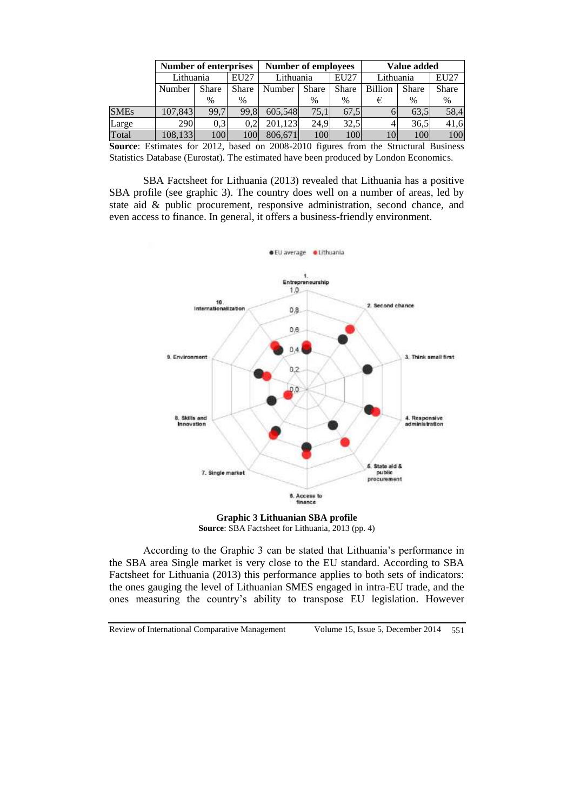|                                           | Number of enterprises |              |              | <b>Number of employees</b> |              |              | Value added    |              |              |
|-------------------------------------------|-----------------------|--------------|--------------|----------------------------|--------------|--------------|----------------|--------------|--------------|
|                                           | Lithuania             |              | EU27         | Lithuania                  |              | EU27         | Lithuania      |              | <b>EU27</b>  |
|                                           | Number                | <b>Share</b> | <b>Share</b> | Number                     | <b>Share</b> | <b>Share</b> | <b>Billion</b> | <b>Share</b> | <b>Share</b> |
|                                           |                       | %            | %            |                            | %            | $\%$         |                | $\%$         | $\%$         |
| <b>SMEs</b>                               | 107,843               | 99,7         | 99.8         | 605,548                    | 75.1         | 67.5         |                | 63.5         | 58,4         |
| Large                                     | 290                   | 0.3          | 0.2          | 201.123                    | 24.9         | 32,5         |                | 36,5         | 41,6         |
| Total                                     | 108,133               | 100          | <b>100</b>   | 806,671                    | 100          | 100          |                | 100          | 100          |
| $\sim$ $\sim$ $\sim$ $\sim$ $\sim$ $\sim$ |                       |              |              |                            |              |              |                |              |              |

**Source**: Estimates for 2012, based on 2008-2010 figures from the Structural Business Statistics Database (Eurostat). The estimated have been produced by London Economics.

SBA Factsheet for Lithuania (2013) revealed that Lithuania has a positive SBA profile (see graphic 3). The country does well on a number of areas, led by state aid & public procurement, responsive administration, second chance, and even access to finance. In general, it offers a business-friendly environment.



**Graphic 3 Lithuanian SBA profile Source**: SBA Factsheet for Lithuania, 2013 (pp. 4)

According to the Graphic 3 can be stated that Lithuania's performance in the SBA area Single market is very close to the EU standard. According to SBA Factsheet for Lithuania (2013) this performance applies to both sets of indicators: the ones gauging the level of Lithuanian SMES engaged in intra-EU trade, and the ones measuring the country's ability to transpose EU legislation. However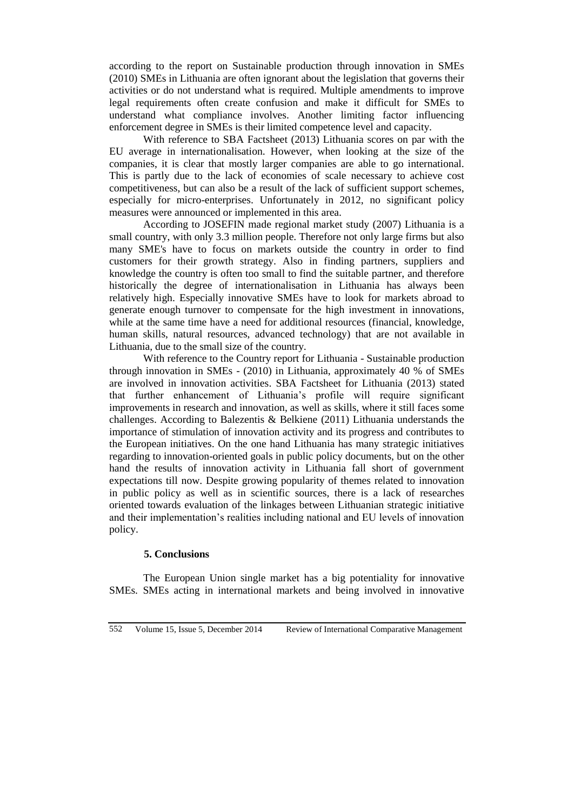according to the report on Sustainable production through innovation in SMEs (2010) SMEs in Lithuania are often ignorant about the legislation that governs their activities or do not understand what is required. Multiple amendments to improve legal requirements often create confusion and make it difficult for SMEs to understand what compliance involves. Another limiting factor influencing enforcement degree in SMEs is their limited competence level and capacity.

With reference to SBA Factsheet (2013) Lithuania scores on par with the EU average in internationalisation. However, when looking at the size of the companies, it is clear that mostly larger companies are able to go international. This is partly due to the lack of economies of scale necessary to achieve cost competitiveness, but can also be a result of the lack of sufficient support schemes, especially for micro-enterprises. Unfortunately in 2012, no significant policy measures were announced or implemented in this area.

According to JOSEFIN made regional market study (2007) Lithuania is a small country, with only 3.3 million people. Therefore not only large firms but also many SME's have to focus on markets outside the country in order to find customers for their growth strategy. Also in finding partners, suppliers and knowledge the country is often too small to find the suitable partner, and therefore historically the degree of internationalisation in Lithuania has always been relatively high. Especially innovative SMEs have to look for markets abroad to generate enough turnover to compensate for the high investment in innovations, while at the same time have a need for additional resources (financial, knowledge, human skills, natural resources, advanced technology) that are not available in Lithuania, due to the small size of the country.

With reference to the Country report for Lithuania - Sustainable production through innovation in SMEs - (2010) in Lithuania, approximately 40 % of SMEs are involved in innovation activities. SBA Factsheet for Lithuania (2013) stated that further enhancement of Lithuania's profile will require significant improvements in research and innovation, as well as skills, where it still faces some challenges. According to Balezentis & Belkiene (2011) Lithuania understands the importance of stimulation of innovation activity and its progress and contributes to the European initiatives. On the one hand Lithuania has many strategic initiatives regarding to innovation-oriented goals in public policy documents, but on the other hand the results of innovation activity in Lithuania fall short of government expectations till now. Despite growing popularity of themes related to innovation in public policy as well as in scientific sources, there is a lack of researches oriented towards evaluation of the linkages between Lithuanian strategic initiative and their implementation's realities including national and EU levels of innovation policy.

## **5. Conclusions**

The European Union single market has a big potentiality for innovative SMEs. SMEs acting in international markets and being involved in innovative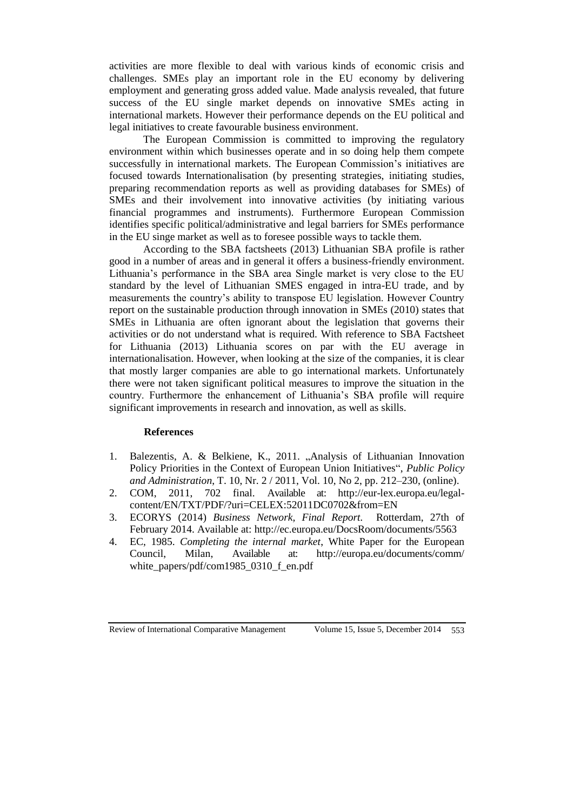activities are more flexible to deal with various kinds of economic crisis and challenges. SMEs play an important role in the EU economy by delivering employment and generating gross added value. Made analysis revealed, that future success of the EU single market depends on innovative SMEs acting in international markets. However their performance depends on the EU political and legal initiatives to create favourable business environment.

The European Commission is committed to improving the regulatory environment within which businesses operate and in so doing help them compete successfully in international markets. The European Commission's initiatives are focused towards Internationalisation (by presenting strategies, initiating studies, preparing recommendation reports as well as providing databases for SMEs) of SMEs and their involvement into innovative activities (by initiating various financial programmes and instruments). Furthermore European Commission identifies specific political/administrative and legal barriers for SMEs performance in the EU singe market as well as to foresee possible ways to tackle them.

According to the SBA factsheets (2013) Lithuanian SBA profile is rather good in a number of areas and in general it offers a business-friendly environment. Lithuania's performance in the SBA area Single market is very close to the EU standard by the level of Lithuanian SMES engaged in intra-EU trade, and by measurements the country's ability to transpose EU legislation. However Country report on the sustainable production through innovation in SMEs (2010) states that SMEs in Lithuania are often ignorant about the legislation that governs their activities or do not understand what is required. With reference to SBA Factsheet for Lithuania (2013) Lithuania scores on par with the EU average in internationalisation. However, when looking at the size of the companies, it is clear that mostly larger companies are able to go international markets. Unfortunately there were not taken significant political measures to improve the situation in the country. Furthermore the enhancement of Lithuania's SBA profile will require significant improvements in research and innovation, as well as skills.

#### **References**

- 1. Balezentis, A. & Belkiene, K., 2011. "Analysis of Lithuanian Innovation Policy Priorities in the Context of European Union Initiatives", *Public Policy and Administration*, T. 10, Nr. 2 / 2011, Vol. 10, No 2, pp. 212–230, (online).
- 2. COM, 2011, 702 final. Available at: [http://eur-lex.europa.eu/legal](http://eur-lex.europa.eu/legal-content/EN/TXT/PDF/?uri=CELEX:52011DC0702&from=EN)[content/EN/TXT/PDF/?uri=CELEX:52011DC0702&from=EN](http://eur-lex.europa.eu/legal-content/EN/TXT/PDF/?uri=CELEX:52011DC0702&from=EN)
- 3. ECORYS (2014) *Business Network, Final Report.* Rotterdam, 27th of February 2014. Available at:<http://ec.europa.eu/DocsRoom/documents/5563>
- 4. EC, 1985. *Completing the internal market*, White Paper for the European Council, Milan, Available at: [http://europa.eu/documents/comm/](http://europa.eu/documents/comm/white_papers/pdf/com1985_0310_f_en.pdf) [white\\_papers/pdf/com1985\\_0310\\_f\\_en.pdf](http://europa.eu/documents/comm/white_papers/pdf/com1985_0310_f_en.pdf)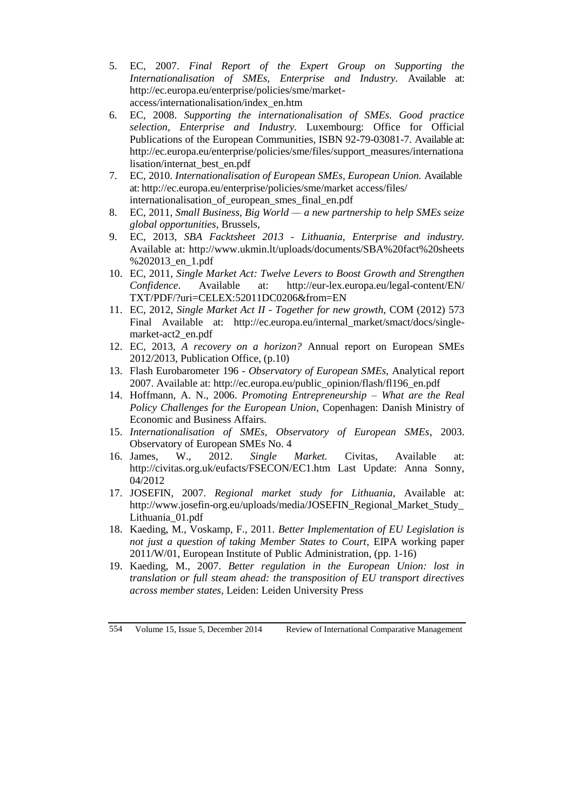- 5. EC, 2007. *[Final Report of the Expert Group on Supporting the](http://ec.europa.eu/enterprise/policies/sme/files/support_measures/internationalisation/report_internat_en.pdf)  [Internationalisation of SMEs,](http://ec.europa.eu/enterprise/policies/sme/files/support_measures/internationalisation/report_internat_en.pdf) Enterprise and Industry.* Available at: [http://ec.europa.eu/enterprise/policies/sme/market](http://ec.europa.eu/enterprise/policies/sme/market-access/internationalisation/index_en.htm)[access/internationalisation/index\\_en.htm](http://ec.europa.eu/enterprise/policies/sme/market-access/internationalisation/index_en.htm)
- 6. EC, 2008. *[Supporting the internationalisation of SMEs. Good practice](http://ec.europa.eu/enterprise/policies/sme/files/support_measures/internationalisation/internat_best_en.pdf)  [selection,](http://ec.europa.eu/enterprise/policies/sme/files/support_measures/internationalisation/internat_best_en.pdf) Enterprise and Industry.* Luxembourg: Office for Official Publications of the European Communities, ISBN 92-79-03081-7. Available at: [http://ec.europa.eu/enterprise/policies/sme/files/support\\_measures/internationa](http://ec.europa.eu/enterprise/policies/sme/files/support_measures/internationalisation/internat_best_en.pdf) [lisation/internat\\_best\\_en.pdf](http://ec.europa.eu/enterprise/policies/sme/files/support_measures/internationalisation/internat_best_en.pdf)
- 7. EC, 2010. *Internationalisation of European SMEs, European Union.* Available at[: http://ec.europa.eu/enterprise/policies/sme/market access/files/](http://ec.europa.eu/enterprise/policies/sme/market-access/files/internationalisation_of_european_smes_final_en.pdf) [internationalisation\\_of\\_european\\_smes\\_final\\_en.pdf](http://ec.europa.eu/enterprise/policies/sme/market-access/files/internationalisation_of_european_smes_final_en.pdf)
- 8. EC, 2011, *Small Business, Big World — a new partnership to help SMEs seize global opportunities,* Brussels,
- 9. EC, 2013, *SBA Facktsheet 2013 - Lithuania, Enterprise and industry.* Available at: [http://www.ukmin.lt/uploads/documents/SBA%20fact%20sheets](http://www.ukmin.lt/uploads/documents/SBA%20fact%20sheets%202013_en_1.pdf) %202013 en 1.pdf
- 10. EC, 2011, *Single Market Act: Twelve Levers to Boost Growth and Strengthen Confidence*. Available at: [http://eur-lex.europa.eu/legal-content/EN/](http://eur-lex.europa.eu/legal-content/EN/%20TXT/PDF/?uri=CELEX:52011DC0206&from=EN)  [TXT/PDF/?uri=CELEX:52011DC0206&from=EN](http://eur-lex.europa.eu/legal-content/EN/%20TXT/PDF/?uri=CELEX:52011DC0206&from=EN)
- 11. EC, 2012, *Single Market Act II - Together for new growth*, COM (2012) 573 Final Available at: http://ec.europa.eu/internal market/smact/docs/single[market-act2\\_en.pdf](http://ec.europa.eu/internal_market/smact/docs/single-market-act2_en.pdf)
- 12. EC, 2013, *A recovery on a horizon?* Annual report on European SMEs 2012/2013, Publication Office, (p.10)
- 13. Flash Eurobarometer 196 *Observatory of European SMEs,* Analytical report 2007. Available at: [http://ec.europa.eu/public\\_opinion/flash/fl196\\_en.pdf](http://ec.europa.eu/public_opinion/flash/fl196_en.pdf)
- 14. Hoffmann, A. N., 2006. *Promoting Entrepreneurship – What are the Real Policy Challenges for the European Union*, Copenhagen: Danish Ministry of Economic and Business Affairs.
- 15. *Internationalisation of SMEs, Observatory of European SMEs*, 2003. Observatory of European SMEs No. 4
- 16. James, W., 2012. *Single Market.* Civitas, Available at: <http://civitas.org.uk/eufacts/FSECON/EC1.htm> Last Update: Anna Sonny, 04/2012
- 17. JOSEFIN, 2007. *Regional market study for Lithuania,* Available at: [http://www.josefin-org.eu/uploads/media/JOSEFIN\\_Regional\\_Market\\_Study\\_](http://www.josefin-org.eu/uploads/media/JOSEFIN_Regional_Market_Study_%20Lithuania_01.pdf)  [Lithuania\\_01.pdf](http://www.josefin-org.eu/uploads/media/JOSEFIN_Regional_Market_Study_%20Lithuania_01.pdf)
- 18. Kaeding, M., Voskamp, F., 2011. *Better Implementation of EU Legislation is not just a question of taking Member States to Court*, EIPA working paper 2011/W/01, European Institute of Public Administration, (pp. 1-16)
- 19. Kaeding, M., 2007. *Better regulation in the European Union: lost in translation or full steam ahead: the transposition of EU transport directives across member states,* Leiden: Leiden University Press